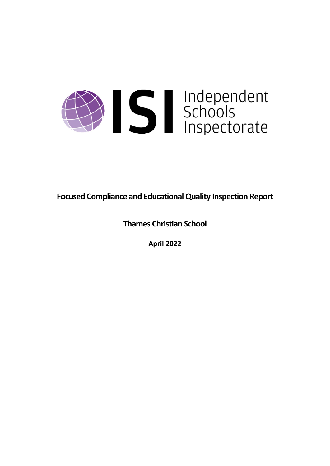

**Focused Compliance and EducationalQuality Inspection Report**

**Thames Christian School**

**April 2022**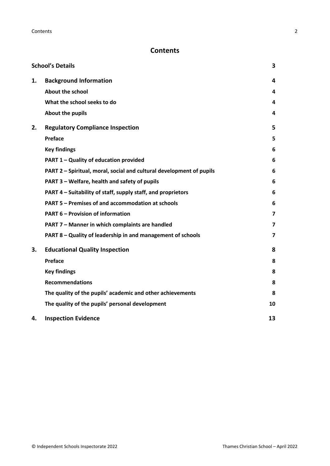# **Contents**

|    | <b>School's Details</b>                                              | 3                       |
|----|----------------------------------------------------------------------|-------------------------|
| 1. | <b>Background Information</b>                                        | 4                       |
|    | <b>About the school</b>                                              | 4                       |
|    | What the school seeks to do                                          | 4                       |
|    | About the pupils                                                     | 4                       |
| 2. | <b>Regulatory Compliance Inspection</b>                              | 5                       |
|    | Preface                                                              | 5                       |
|    | <b>Key findings</b>                                                  | 6                       |
|    | PART 1 - Quality of education provided                               | 6                       |
|    | PART 2 - Spiritual, moral, social and cultural development of pupils | 6                       |
|    | PART 3 - Welfare, health and safety of pupils                        | 6                       |
|    | PART 4 – Suitability of staff, supply staff, and proprietors         | 6                       |
|    | PART 5 - Premises of and accommodation at schools                    | 6                       |
|    | <b>PART 6 - Provision of information</b>                             | $\overline{\mathbf{z}}$ |
|    | PART 7 - Manner in which complaints are handled                      | $\overline{7}$          |
|    | PART 8 - Quality of leadership in and management of schools          | $\overline{\mathbf{z}}$ |
| 3. | <b>Educational Quality Inspection</b>                                | 8                       |
|    | Preface                                                              | 8                       |
|    | <b>Key findings</b>                                                  | 8                       |
|    | <b>Recommendations</b>                                               | 8                       |
|    | The quality of the pupils' academic and other achievements           | 8                       |
|    | The quality of the pupils' personal development                      | 10                      |
| 4. | <b>Inspection Evidence</b>                                           | 13                      |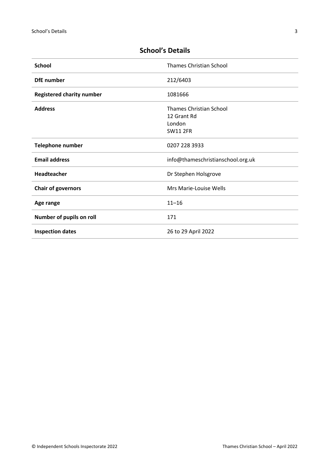| <b>School</b>                    | <b>Thames Christian School</b>                                             |
|----------------------------------|----------------------------------------------------------------------------|
| <b>DfE</b> number                | 212/6403                                                                   |
| <b>Registered charity number</b> | 1081666                                                                    |
| <b>Address</b>                   | <b>Thames Christian School</b><br>12 Grant Rd<br>London<br><b>SW11 2FR</b> |
| <b>Telephone number</b>          | 0207 228 3933                                                              |
| <b>Email address</b>             | info@thameschristianschool.org.uk                                          |
| Headteacher                      | Dr Stephen Holsgrove                                                       |
| <b>Chair of governors</b>        | Mrs Marie-Louise Wells                                                     |
| Age range                        | $11 - 16$                                                                  |
| Number of pupils on roll         | 171                                                                        |
| <b>Inspection dates</b>          | 26 to 29 April 2022                                                        |

# <span id="page-2-0"></span>**School's Details**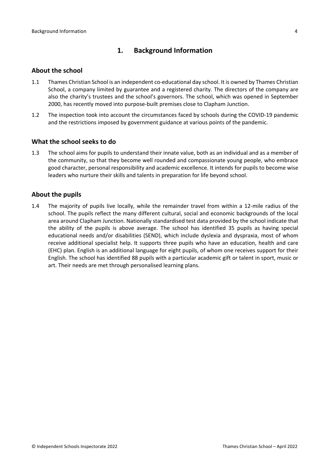# <span id="page-3-0"></span>**1. Background Information**

### <span id="page-3-1"></span>**About the school**

- 1.1 Thames Christian School is an independent co-educational day school. It is owned by Thames Christian School, a company limited by guarantee and a registered charity. The directors of the company are also the charity's trustees and the school's governors. The school, which was opened in September 2000, has recently moved into purpose-built premises close to Clapham Junction.
- 1.2 The inspection took into account the circumstances faced by schools during the COVID-19 pandemic and the restrictions imposed by government guidance at various points of the pandemic.

### <span id="page-3-2"></span>**What the school seeks to do**

1.3 The school aims for pupils to understand their innate value, both as an individual and as a member of the community, so that they become well rounded and compassionate young people, who embrace good character, personal responsibility and academic excellence. It intends for pupils to become wise leaders who nurture their skills and talents in preparation for life beyond school.

### <span id="page-3-3"></span>**About the pupils**

1.4 The majority of pupils live locally, while the remainder travel from within a 12-mile radius of the school. The pupils reflect the many different cultural, social and economic backgrounds of the local area around Clapham Junction. Nationally standardised test data provided by the school indicate that the ability of the pupils is above average. The school has identified 35 pupils as having special educational needs and/or disabilities (SEND), which include dyslexia and dyspraxia, most of whom receive additional specialist help. It supports three pupils who have an education, health and care (EHC) plan. English is an additional language for eight pupils, of whom one receives support for their English. The school has identified 88 pupils with a particular academic gift or talent in sport, music or art. Their needs are met through personalised learning plans.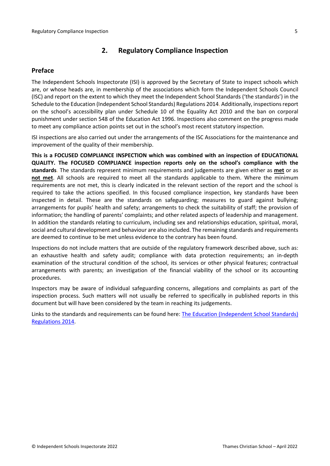# <span id="page-4-0"></span>**2. Regulatory Compliance Inspection**

### <span id="page-4-1"></span>**Preface**

The Independent Schools Inspectorate (ISI) is approved by the Secretary of State to inspect schools which are, or whose heads are, in membership of the associations which form the Independent Schools Council (ISC) and report on the extent to which they meet the Independent School Standards ('the standards') in the Schedule to the Education (Independent School Standards) Regulations 2014. Additionally, inspectionsreport on the school's accessibility plan under Schedule 10 of the Equality Act 2010 and the ban on corporal punishment under section 548 of the Education Act 1996. Inspections also comment on the progress made to meet any compliance action points set out in the school's most recent statutory inspection.

ISI inspections are also carried out under the arrangements of the ISC Associations for the maintenance and improvement of the quality of their membership.

**This is a FOCUSED COMPLIANCE INSPECTION which was combined with an inspection of EDUCATIONAL QUALITY. The FOCUSED COMPLIANCE inspection reports only on the school's compliance with the standards**. The standards represent minimum requirements and judgements are given either as **met** or as **not met**. All schools are required to meet all the standards applicable to them. Where the minimum requirements are not met, this is clearly indicated in the relevant section of the report and the school is required to take the actions specified. In this focused compliance inspection, key standards have been inspected in detail. These are the standards on safeguarding; measures to guard against bullying; arrangements for pupils' health and safety; arrangements to check the suitability of staff; the provision of information; the handling of parents' complaints; and other related aspects of leadership and management. In addition the standards relating to curriculum, including sex and relationships education, spiritual, moral, social and cultural development and behaviour are also included. The remaining standards and requirements are deemed to continue to be met unless evidence to the contrary has been found.

Inspections do not include matters that are outside of the regulatory framework described above, such as: an exhaustive health and safety audit; compliance with data protection requirements; an in-depth examination of the structural condition of the school, its services or other physical features; contractual arrangements with parents; an investigation of the financial viability of the school or its accounting procedures.

Inspectors may be aware of individual safeguarding concerns, allegations and complaints as part of the inspection process. Such matters will not usually be referred to specifically in published reports in this document but will have been considered by the team in reaching its judgements.

Links to the standards and requirements can be found here: The Education [\(Independent](http://www.legislation.gov.uk/uksi/2014/3283/contents/made) School Standards) [Regulations](http://www.legislation.gov.uk/uksi/2014/3283/contents/made) 2014.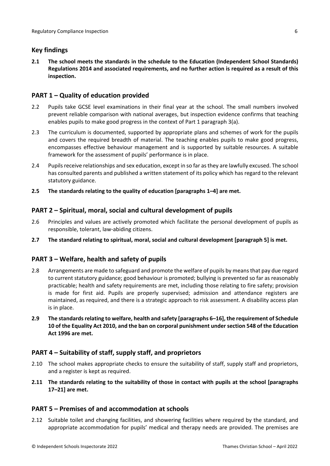# <span id="page-5-0"></span>**Key findings**

**2.1 The school meets the standards in the schedule to the Education (Independent School Standards) Regulations 2014 and associated requirements, and no further action is required as a result of this inspection.**

### <span id="page-5-1"></span>**PART 1 – Quality of education provided**

- 2.2 Pupils take GCSE level examinations in their final year at the school. The small numbers involved prevent reliable comparison with national averages, but inspection evidence confirms that teaching enables pupils to make good progress in the context of Part 1 paragraph 3(a).
- 2.3 The curriculum is documented, supported by appropriate plans and schemes of work for the pupils and covers the required breadth of material. The teaching enables pupils to make good progress, encompasses effective behaviour management and is supported by suitable resources. A suitable framework for the assessment of pupils' performance is in place.
- 2.4 Pupilsreceive relationships and sex education, except in so far asthey are lawfully excused. The school has consulted parents and published a written statement of its policy which has regard to the relevant statutory guidance.
- **2.5 The standards relating to the quality of education [paragraphs 1–4] are met.**

## <span id="page-5-2"></span>**PART 2 – Spiritual, moral, social and cultural development of pupils**

- 2.6 Principles and values are actively promoted which facilitate the personal development of pupils as responsible, tolerant, law-abiding citizens.
- **2.7 The standard relating to spiritual, moral, social and cultural development [paragraph 5] is met.**

# <span id="page-5-3"></span>**PART 3 – Welfare, health and safety of pupils**

- 2.8 Arrangements are made to safeguard and promote the welfare of pupils by means that pay due regard to current statutory guidance; good behaviour is promoted; bullying is prevented so far as reasonably practicable; health and safety requirements are met, including those relating to fire safety; provision is made for first aid. Pupils are properly supervised; admission and attendance registers are maintained, as required, and there is a strategic approach to risk assessment. A disability access plan is in place.
- **2.9 The standardsrelating to welfare, health and safety [paragraphs 6–16], the requirement of Schedule 10 of the Equality Act 2010, and the ban on corporal punishment undersection 548 of the Education Act 1996 are met.**

### <span id="page-5-4"></span>**PART 4 – Suitability of staff, supply staff, and proprietors**

- 2.10 The school makes appropriate checks to ensure the suitability of staff, supply staff and proprietors, and a register is kept as required.
- **2.11 The standards relating to the suitability of those in contact with pupils at the school [paragraphs 17–21] are met.**

### <span id="page-5-5"></span>**PART 5 – Premises of and accommodation at schools**

2.12 Suitable toilet and changing facilities, and showering facilities where required by the standard, and appropriate accommodation for pupils' medical and therapy needs are provided. The premises are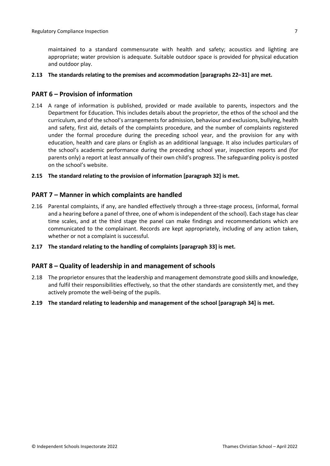maintained to a standard commensurate with health and safety; acoustics and lighting are appropriate; water provision is adequate. Suitable outdoor space is provided for physical education and outdoor play.

#### **2.13 The standards relating to the premises and accommodation [paragraphs 22–31] are met.**

### <span id="page-6-0"></span>**PART 6 – Provision of information**

2.14 A range of information is published, provided or made available to parents, inspectors and the Department for Education. This includes details about the proprietor, the ethos of the school and the curriculum, and of the school's arrangementsfor admission, behaviour and exclusions, bullying, health and safety, first aid, details of the complaints procedure, and the number of complaints registered under the formal procedure during the preceding school year, and the provision for any with education, health and care plans or English as an additional language. It also includes particulars of the school's academic performance during the preceding school year, inspection reports and (for parents only) a report at least annually of their own child's progress. The safeguarding policy is posted on the school's website.

#### **2.15 The standard relating to the provision of information [paragraph 32] is met.**

#### <span id="page-6-1"></span>**PART 7 – Manner in which complaints are handled**

- 2.16 Parental complaints, if any, are handled effectively through a three-stage process, (informal, formal and a hearing before a panel of three, one of whom is independent of the school). Each stage has clear time scales, and at the third stage the panel can make findings and recommendations which are communicated to the complainant. Records are kept appropriately, including of any action taken, whether or not a complaint is successful.
- **2.17 The standard relating to the handling of complaints [paragraph 33] is met.**

#### <span id="page-6-2"></span>**PART 8 – Quality of leadership in and management of schools**

- 2.18 The proprietor ensures that the leadership and management demonstrate good skills and knowledge, and fulfil their responsibilities effectively, so that the other standards are consistently met, and they actively promote the well-being of the pupils.
- **2.19 The standard relating to leadership and management of the school [paragraph 34] is met.**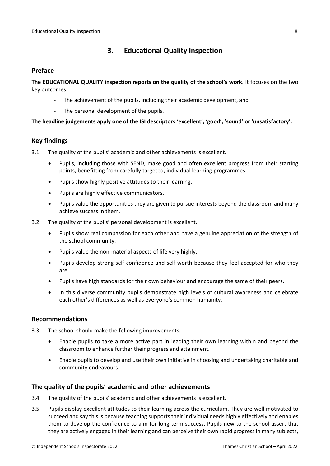# <span id="page-7-0"></span>**3. Educational Quality Inspection**

### <span id="page-7-1"></span>**Preface**

**The EDUCATIONAL QUALITY inspection reports on the quality of the school's work**. It focuses on the two key outcomes:

- The achievement of the pupils, including their academic development, and
- The personal development of the pupils.

**The headline judgements apply one of the ISI descriptors 'excellent', 'good', 'sound' or 'unsatisfactory'.**

### <span id="page-7-2"></span>**Key findings**

- 3.1 The quality of the pupils' academic and other achievements is excellent.
	- Pupils, including those with SEND, make good and often excellent progress from their starting points, benefitting from carefully targeted, individual learning programmes.
	- Pupils show highly positive attitudes to their learning.
	- Pupils are highly effective communicators.
	- Pupils value the opportunities they are given to pursue interests beyond the classroom and many achieve success in them.
- 3.2 The quality of the pupils' personal development is excellent.
	- Pupils show real compassion for each other and have a genuine appreciation of the strength of the school community.
	- Pupils value the non-material aspects of life very highly.
	- Pupils develop strong self-confidence and self-worth because they feel accepted for who they are.
	- Pupils have high standards for their own behaviour and encourage the same of their peers.
	- In this diverse community pupils demonstrate high levels of cultural awareness and celebrate each other's differences as well as everyone's common humanity.

#### <span id="page-7-3"></span>**Recommendations**

- 3.3 The school should make the following improvements.
	- Enable pupils to take a more active part in leading their own learning within and beyond the classroom to enhance further their progress and attainment.
	- Enable pupils to develop and use their own initiative in choosing and undertaking charitable and community endeavours.

### <span id="page-7-4"></span>**The quality of the pupils' academic and other achievements**

- 3.4 The quality of the pupils' academic and other achievements is excellent.
- 3.5 Pupils display excellent attitudes to their learning across the curriculum. They are well motivated to succeed and say this is because teaching supports their individual needs highly effectively and enables them to develop the confidence to aim for long-term success. Pupils new to the school assert that they are actively engaged in their learning and can perceive their own rapid progressin many subjects,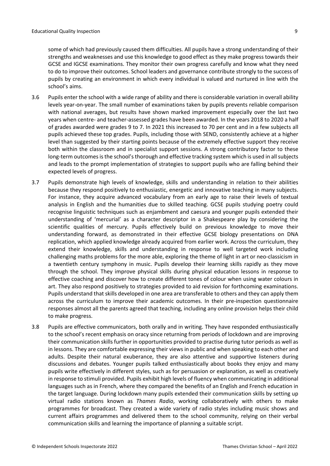some of which had previously caused them difficulties. All pupils have a strong understanding of their strengths and weaknesses and use this knowledge to good effect as they make progress towards their GCSE and IGCSE examinations. They monitor their own progress carefully and know what they need to do to improve their outcomes. School leaders and governance contribute strongly to the success of pupils by creating an environment in which every individual is valued and nurtured in line with the school's aims.

- 3.6 Pupils enter the school with a wide range of ability and there is considerable variation in overall ability levels year-on-year. The small number of examinations taken by pupils prevents reliable comparison with national averages, but results have shown marked improvement especially over the last two years when centre- and teacher-assessed grades have been awarded. In the years 2018 to 2020 a half of grades awarded were grades 9 to 7. In 2021 this increased to 70 per cent and in a few subjects all pupils achieved these top grades. Pupils, including those with SEND, consistently achieve at a higher level than suggested by their starting points because of the extremely effective support they receive both within the classroom and in specialist support sessions. A strong contributory factor to these long-term outcomes is the school's thorough and effective tracking system which is used in all subjects and leads to the prompt implementation of strategies to support pupils who are falling behind their expected levels of progress.
- 3.7 Pupils demonstrate high levels of knowledge, skills and understanding in relation to their abilities because they respond positively to enthusiastic, energetic and innovative teaching in many subjects. For instance, they acquire advanced vocabulary from an early age to raise their levels of textual analysis in English and the humanities due to skilled teaching. GCSE pupils studying poetry could recognise linguistic techniques such as enjambment and caesura and younger pupils extended their understanding of 'mercurial' as a character descriptor in a Shakespeare play by considering the scientific qualities of mercury. Pupils effectively build on previous knowledge to move their understanding forward, as demonstrated in their effective GCSE biology presentations on DNA replication, which applied knowledge already acquired from earlier work. Across the curriculum, they extend their knowledge, skills and understanding in response to well targeted work including challenging maths problems for the more able, exploring the theme of light in art or neo-classicism in a twentieth century symphony in music. Pupils develop their learning skills rapidly as they move through the school. They improve physical skills during physical education lessons in response to effective coaching and discover how to create different tones of colour when using water colours in art. They also respond positively to strategies provided to aid revision for forthcoming examinations. Pupils understand that skills developed in one area are transferable to others and they can apply them across the curriculum to improve their academic outcomes. In their pre-inspection questionnaire responses almost all the parents agreed that teaching, including any online provision helps their child to make progress.
- 3.8 Pupils are effective communicators, both orally and in writing. They have responded enthusiastically to the school's recent emphasis on oracy since returning from periods of lockdown and are improving their communication skills further in opportunities provided to practise during tutor periods as well as in lessons. They are comfortable expressing their views in public and when speaking to each other and adults. Despite their natural exuberance, they are also attentive and supportive listeners during discussions and debates. Younger pupils talked enthusiastically about books they enjoy and many pupils write effectively in different styles, such as for persuasion or explanation, as well as creatively in response to stimuli provided. Pupils exhibit high levels of fluency when communicating in additional languages such as in French, where they compared the benefits of an English and French education in the target language. During lockdown many pupils extended their communication skills by setting up virtual radio stations known as *Thames Radio*, working collaboratively with others to make programmes for broadcast. They created a wide variety of radio styles including music shows and current affairs programmes and delivered them to the school community, relying on their verbal communication skills and learning the importance of planning a suitable script.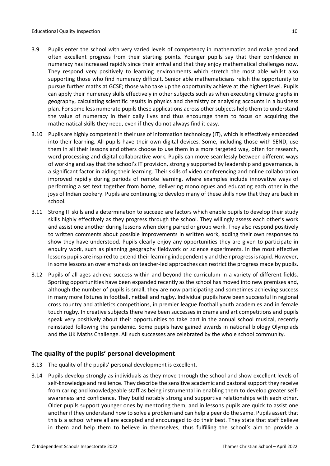- 3.9 Pupils enter the school with very varied levels of competency in mathematics and make good and often excellent progress from their starting points. Younger pupils say that their confidence in numeracy has increased rapidly since their arrival and that they enjoy mathematical challenges now. They respond very positively to learning environments which stretch the most able whilst also supporting those who find numeracy difficult. Senior able mathematicians relish the opportunity to pursue further maths at GCSE; those who take up the opportunity achieve at the highest level. Pupils can apply their numeracy skills effectively in other subjects such as when executing climate graphs in geography, calculating scientific results in physics and chemistry or analysing accounts in a business plan. For some less numerate pupils these applications across other subjects help them to understand the value of numeracy in their daily lives and thus encourage them to focus on acquiring the mathematical skills they need, even if they do not always find it easy.
- 3.10 Pupils are highly competent in their use of information technology (IT), which is effectively embedded into their learning. All pupils have their own digital devices. Some, including those with SEND, use them in all their lessons and others choose to use them in a more targeted way, often for research, word processing and digital collaborative work. Pupils can move seamlessly between different ways of working and say that the school's IT provision, strongly supported by leadership and governance, is a significant factor in aiding their learning. Their skills of video conferencing and online collaboration improved rapidly during periods of remote learning, where examples include innovative ways of performing a set text together from home, delivering monologues and educating each other in the joys of Indian cookery. Pupils are continuing to develop many of these skills now that they are back in school.
- 3.11 Strong IT skills and a determination to succeed are factors which enable pupils to develop their study skills highly effectively as they progress through the school. They willingly assess each other's work and assist one another during lessons when doing paired or group work. They also respond positively to written comments about possible improvements in written work, adding their own responses to show they have understood. Pupils clearly enjoy any opportunities they are given to participate in enquiry work, such as planning geography fieldwork or science experiments. In the most effective lessons pupils are inspired to extend their learning independently and their progress is rapid. However, in some lessons an over emphasis on teacher-led approaches can restrict the progress made by pupils.
- 3.12 Pupils of all ages achieve success within and beyond the curriculum in a variety of different fields. Sporting opportunities have been expanded recently as the school has moved into new premises and, although the number of pupils is small, they are now participating and sometimes achieving success in many more fixtures in football, netball and rugby. Individual pupils have been successful in regional cross country and athletics competitions, in premier league football youth academies and in female touch rugby. In creative subjects there have been successes in drama and art competitions and pupils speak very positively about their opportunities to take part in the annual school musical, recently reinstated following the pandemic. Some pupils have gained awards in national biology Olympiads and the UK Maths Challenge. All such successes are celebrated by the whole school community.

# <span id="page-9-0"></span>**The quality of the pupils' personal development**

- 3.13 The quality of the pupils' personal development is excellent.
- 3.14 Pupils develop strongly as individuals as they move through the school and show excellent levels of self-knowledge and resilience. They describe the sensitive academic and pastoral support they receive from caring and knowledgeable staff as being instrumental in enabling them to develop greater selfawareness and confidence. They build notably strong and supportive relationships with each other. Older pupils support younger ones by mentoring them, and in lessons pupils are quick to assist one another if they understand how to solve a problem and can help a peer do the same. Pupils assert that this is a school where all are accepted and encouraged to do their best. They state that staff believe in them and help them to believe in themselves, thus fulfilling the school's aim to provide a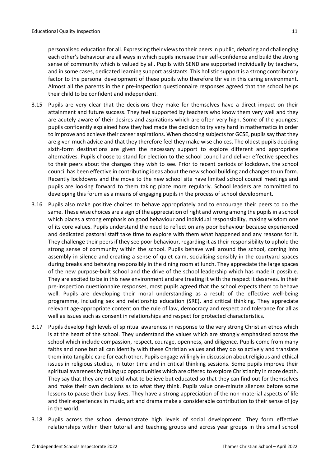personalised education for all. Expressing their viewsto their peersin public, debating and challenging each other's behaviour are all ways in which pupils increase their self-confidence and build the strong sense of community which is valued by all. Pupils with SEND are supported individually by teachers, and in some cases, dedicated learning support assistants. This holistic support is a strong contributory factor to the personal development of these pupils who therefore thrive in this caring environment. Almost all the parents in their pre-inspection questionnaire responses agreed that the school helps their child to be confident and independent.

- 3.15 Pupils are very clear that the decisions they make for themselves have a direct impact on their attainment and future success. They feel supported by teachers who know them very well and they are acutely aware of their desires and aspirations which are often very high. Some of the youngest pupils confidently explained how they had made the decision to try very hard in mathematics in order to improve and achieve their career aspirations. When choosing subjects for GCSE, pupils say that they are given much advice and that they therefore feel they make wise choices. The oldest pupils deciding sixth-form destinations are given the necessary support to explore different and appropriate alternatives. Pupils choose to stand for election to the school council and deliver effective speeches to their peers about the changes they wish to see. Prior to recent periods of lockdown, the school council has been effective in contributing ideas about the new school building and changes to uniform. Recently lockdowns and the move to the new school site have limited school council meetings and pupils are looking forward to them taking place more regularly. School leaders are committed to developing this forum as a means of engaging pupils in the process of school development.
- 3.16 Pupils also make positive choices to behave appropriately and to encourage their peers to do the same. These wise choices are a sign of the appreciation of right and wrong among the pupils in a school which places a strong emphasis on good behaviour and individual responsibility, making wisdom one of its core values. Pupils understand the need to reflect on any poor behaviour because experienced and dedicated pastoral staff take time to explore with them what happened and any reasons for it. They challenge their peers if they see poor behaviour, regarding it as their responsibility to uphold the strong sense of community within the school. Pupils behave well around the school, coming into assembly in silence and creating a sense of quiet calm, socialising sensibly in the courtyard spaces during breaks and behaving responsibly in the dining room at lunch. They appreciate the large spaces of the new purpose-built school and the drive of the school leadership which has made it possible. They are excited to be in this new environment and are treating it with the respect it deserves. In their pre-inspection questionnaire responses, most pupils agreed that the school expects them to behave well. Pupils are developing their moral understanding as a result of the effective well-being programme, including sex and relationship education (SRE), and critical thinking. They appreciate relevant age-appropriate content on the rule of law, democracy and respect and tolerance for all as well as issues such as consent in relationships and respect for protected characteristics.
- 3.17 Pupils develop high levels of spiritual awareness in response to the very strong Christian ethos which is at the heart of the school. They understand the values which are strongly emphasised across the school which include compassion, respect, courage, openness, and diligence. Pupils come from many faiths and none but all can identify with these Christian values and they do so actively and translate them into tangible care for each other. Pupils engage willingly in discussion about religious and ethical issues in religious studies, in tutor time and in critical thinking sessions. Some pupils improve their spiritual awareness by taking up opportunities which are offered to explore Christianity in more depth. They say that they are not told what to believe but educated so that they can find out for themselves and make their own decisions as to what they think. Pupils value one-minute silences before some lessons to pause their busy lives. They have a strong appreciation of the non-material aspects of life and their experiences in music, art and drama make a considerable contribution to their sense of joy in the world.
- 3.18 Pupils across the school demonstrate high levels of social development. They form effective relationships within their tutorial and teaching groups and across year groups in this small school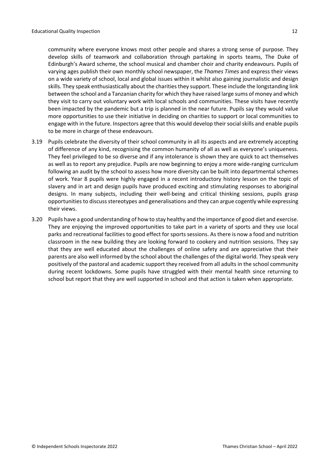community where everyone knows most other people and shares a strong sense of purpose. They develop skills of teamwork and collaboration through partaking in sports teams, The Duke of Edinburgh's Award scheme, the school musical and chamber choir and charity endeavours. Pupils of varying ages publish their own monthly school newspaper, the *Thames Times* and express their views on a wide variety of school, local and global issues within it whilst also gaining journalistic and design skills. They speak enthusiastically about the charities they support. These include the longstanding link between the school and a Tanzanian charity for which they have raised large sums of money and which they visit to carry out voluntary work with local schools and communities. These visits have recently been impacted by the pandemic but a trip is planned in the near future. Pupils say they would value more opportunities to use their initiative in deciding on charities to support or local communities to engage with in the future. Inspectors agree that this would develop their social skills and enable pupils to be more in charge of these endeavours.

- 3.19 Pupils celebrate the diversity of their school community in all its aspects and are extremely accepting of difference of any kind, recognising the common humanity of all as well as everyone's uniqueness. They feel privileged to be so diverse and if any intolerance is shown they are quick to act themselves as well as to report any prejudice. Pupils are now beginning to enjoy a more wide-ranging curriculum following an audit by the school to assess how more diversity can be built into departmental schemes of work. Year 8 pupils were highly engaged in a recent introductory history lesson on the topic of slavery and in art and design pupils have produced exciting and stimulating responses to aboriginal designs. In many subjects, including their well-being and critical thinking sessions, pupils grasp opportunities to discuss stereotypes and generalisations and they can argue cogently while expressing their views.
- 3.20 Pupils have a good understanding of how to stay healthy and the importance of good diet and exercise. They are enjoying the improved opportunities to take part in a variety of sports and they use local parks and recreational facilities to good effect for sports sessions. As there is now a food and nutrition classroom in the new building they are looking forward to cookery and nutrition sessions. They say that they are well educated about the challenges of online safety and are appreciative that their parents are also well informed by the school about the challenges of the digital world. They speak very positively of the pastoral and academic support they received from all adults in the school community during recent lockdowns. Some pupils have struggled with their mental health since returning to school but report that they are well supported in school and that action is taken when appropriate.